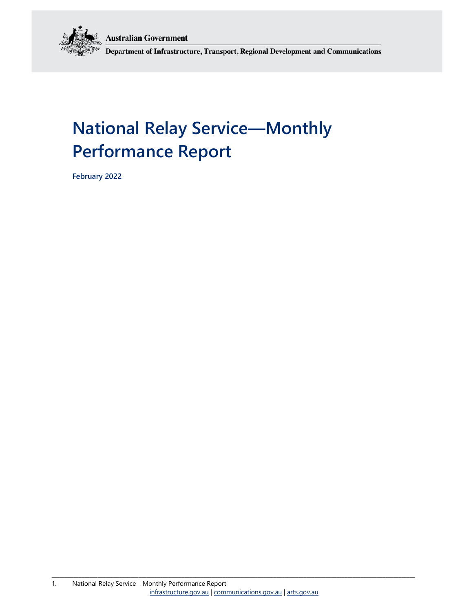

Department of Infrastructure, Transport, Regional Development and Communications

# **National Relay Service—Monthly Performance Report**

**February 2022**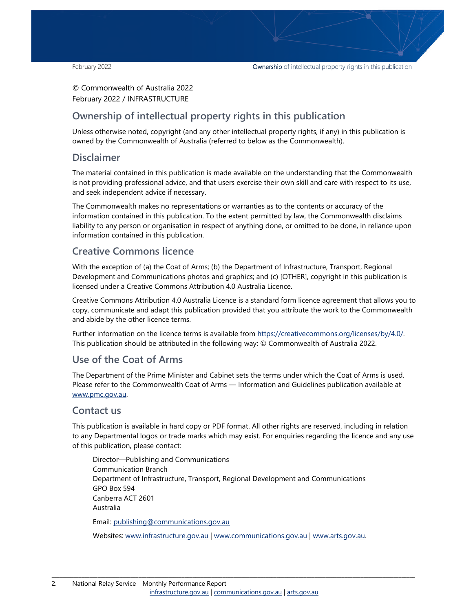© Commonwealth of Australia 2022 February 2022 / INFRASTRUCTURE

#### **Ownership of intellectual property rights in this publication**

Unless otherwise noted, copyright (and any other intellectual property rights, if any) in this publication is owned by the Commonwealth of Australia (referred to below as the Commonwealth).

#### **Disclaimer**

The material contained in this publication is made available on the understanding that the Commonwealth is not providing professional advice, and that users exercise their own skill and care with respect to its use, and seek independent advice if necessary.

The Commonwealth makes no representations or warranties as to the contents or accuracy of the information contained in this publication. To the extent permitted by law, the Commonwealth disclaims liability to any person or organisation in respect of anything done, or omitted to be done, in reliance upon information contained in this publication.

#### **Creative Commons licence**

With the exception of (a) the Coat of Arms; (b) the Department of Infrastructure, Transport, Regional Development and Communications photos and graphics; and (c) [OTHER], copyright in this publication is licensed under a Creative Commons Attribution 4.0 Australia Licence.

Creative Commons Attribution 4.0 Australia Licence is a standard form licence agreement that allows you to copy, communicate and adapt this publication provided that you attribute the work to the Commonwealth and abide by the other licence terms.

Further information on the licence terms is available from https://creativecommons.org/licenses/by/4.0/. This publication should be attributed in the following way: © Commonwealth of Australia 2022.

#### **Use of the Coat of Arms**

The Department of the Prime Minister and Cabinet sets the terms under which the Coat of Arms is used. Please refer to the Commonwealth Coat of Arms — Information and Guidelines publication available at www.pmc.gov.au.

#### **Contact us**

This publication is available in hard copy or PDF format. All other rights are reserved, including in relation to any Departmental logos or trade marks which may exist. For enquiries regarding the licence and any use of this publication, please contact:

Director—Publishing and Communications Communication Branch Department of Infrastructure, Transport, Regional Development and Communications GPO Box 594 Canberra ACT 2601 Australia Email: publishing@communications.gov.au

Websites: www.infrastructure.gov.au | www.communications.gov.au | www.arts.gov.au.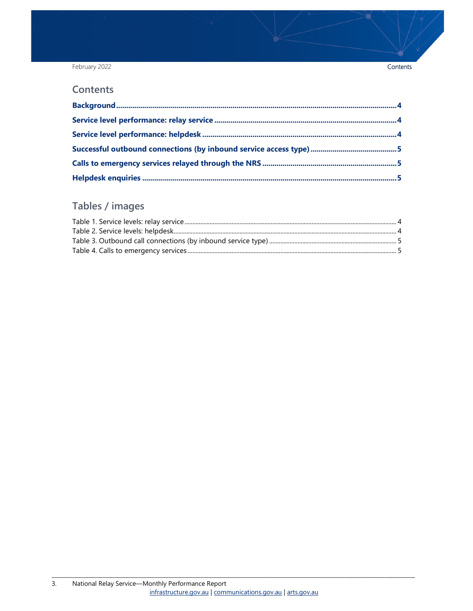February 2022

Contents

#### **Contents**

### Tables / images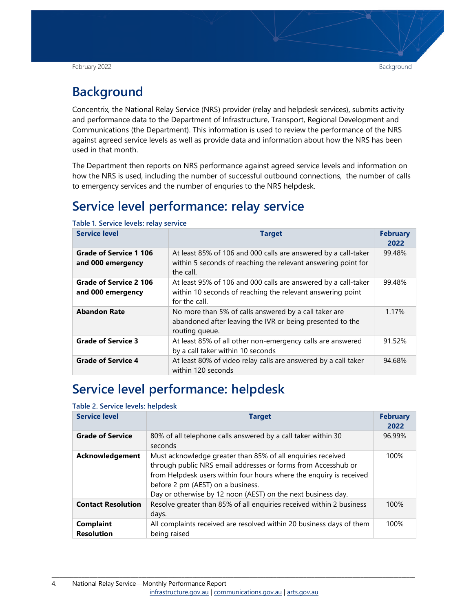### **Background**

Concentrix, the National Relay Service (NRS) provider (relay and helpdesk services), submits activity and performance data to the Department of Infrastructure, Transport, Regional Development and Communications (the Department). This information is used to review the performance of the NRS against agreed service levels as well as provide data and information about how the NRS has been used in that month.

The Department then reports on NRS performance against agreed service levels and information on how the NRS is used, including the number of successful outbound connections, the number of calls to emergency services and the number of enquries to the NRS helpdesk.

### **Service level performance: relay service**

| <b>Service level</b>                        | <b>Target</b>                                                                                                                                 | <b>February</b><br>2022 |
|---------------------------------------------|-----------------------------------------------------------------------------------------------------------------------------------------------|-------------------------|
| Grade of Service 1 106<br>and 000 emergency | At least 85% of 106 and 000 calls are answered by a call-taker<br>within 5 seconds of reaching the relevant answering point for<br>the call.  | 99.48%                  |
| Grade of Service 2 106<br>and 000 emergency | At least 95% of 106 and 000 calls are answered by a call-taker<br>within 10 seconds of reaching the relevant answering point<br>for the call. | 99.48%                  |
| <b>Abandon Rate</b>                         | No more than 5% of calls answered by a call taker are<br>abandoned after leaving the IVR or being presented to the<br>routing queue.          | 1.17%                   |
| <b>Grade of Service 3</b>                   | At least 85% of all other non-emergency calls are answered<br>by a call taker within 10 seconds                                               | 91.52%                  |
| <b>Grade of Service 4</b>                   | At least 80% of video relay calls are answered by a call taker<br>within 120 seconds                                                          | 94.68%                  |

**Table 1. Service levels: relay service** 

### **Service level performance: helpdesk**

#### **Table 2. Service levels: helpdesk**

| <b>Service level</b>           | <b>Target</b>                                                                                                                                                                                                                                                                                            | <b>February</b><br>2022 |
|--------------------------------|----------------------------------------------------------------------------------------------------------------------------------------------------------------------------------------------------------------------------------------------------------------------------------------------------------|-------------------------|
| <b>Grade of Service</b>        | 80% of all telephone calls answered by a call taker within 30<br>seconds                                                                                                                                                                                                                                 | 96.99%                  |
| Acknowledgement                | Must acknowledge greater than 85% of all enquiries received<br>through public NRS email addresses or forms from Accesshub or<br>from Helpdesk users within four hours where the enquiry is received<br>before 2 pm (AEST) on a business.<br>Day or otherwise by 12 noon (AEST) on the next business day. | 100%                    |
| <b>Contact Resolution</b>      | Resolve greater than 85% of all enquiries received within 2 business<br>days.                                                                                                                                                                                                                            | 100%                    |
| Complaint<br><b>Resolution</b> | All complaints received are resolved within 20 business days of them<br>being raised                                                                                                                                                                                                                     | 100%                    |